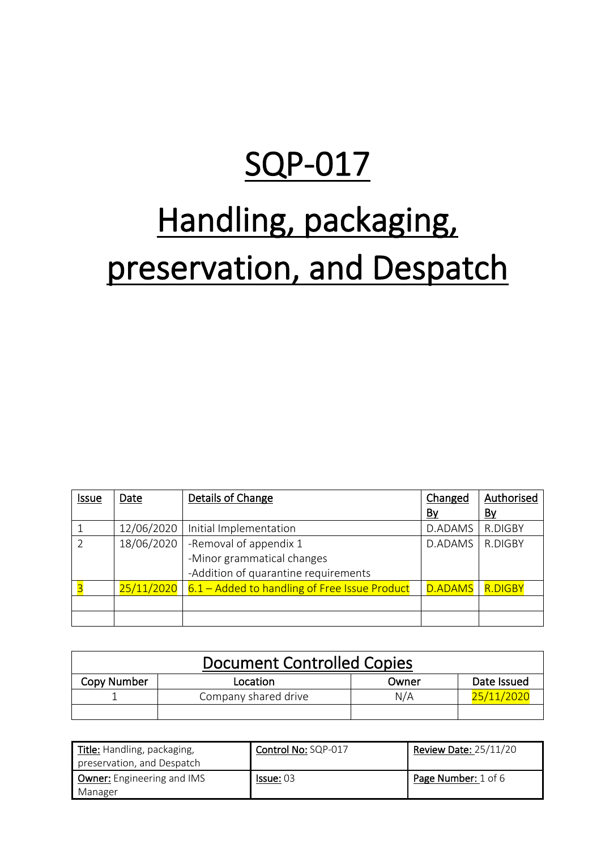# SQP-017

# Handling, packaging, preservation, and Despatch

| <b>Issue</b>  | Date       | Details of Change                             | Changed        | Authorised     |
|---------------|------------|-----------------------------------------------|----------------|----------------|
|               |            |                                               | <u>By</u>      | <u>By</u>      |
|               | 12/06/2020 | Initial Implementation                        | D.ADAMS        | R.DIGBY        |
| $\mathcal{P}$ | 18/06/2020 | -Removal of appendix 1                        | D.ADAMS        | R.DIGBY        |
|               |            | -Minor grammatical changes                    |                |                |
|               |            | -Addition of quarantine requirements          |                |                |
|               | 25/11/2020 | 6.1 – Added to handling of Free Issue Product | <b>D.ADAMS</b> | <b>R.DIGBY</b> |
|               |            |                                               |                |                |
|               |            |                                               |                |                |

| <b>Document Controlled Copies</b> |                      |       |             |
|-----------------------------------|----------------------|-------|-------------|
| Copy Number                       | Location             | Owner | Date Issued |
|                                   | Company shared drive | N/A   | 25/11/2020  |
|                                   |                      |       |             |

| Title: Handling, packaging,       | Control No: SQP-017 | <b>Review Date: 25/11/20</b> |
|-----------------------------------|---------------------|------------------------------|
| preservation, and Despatch        |                     |                              |
| <b>Owner:</b> Engineering and IMS | <b>Issue: 03</b>    | Page Number: 1 of 6          |
| Manager                           |                     |                              |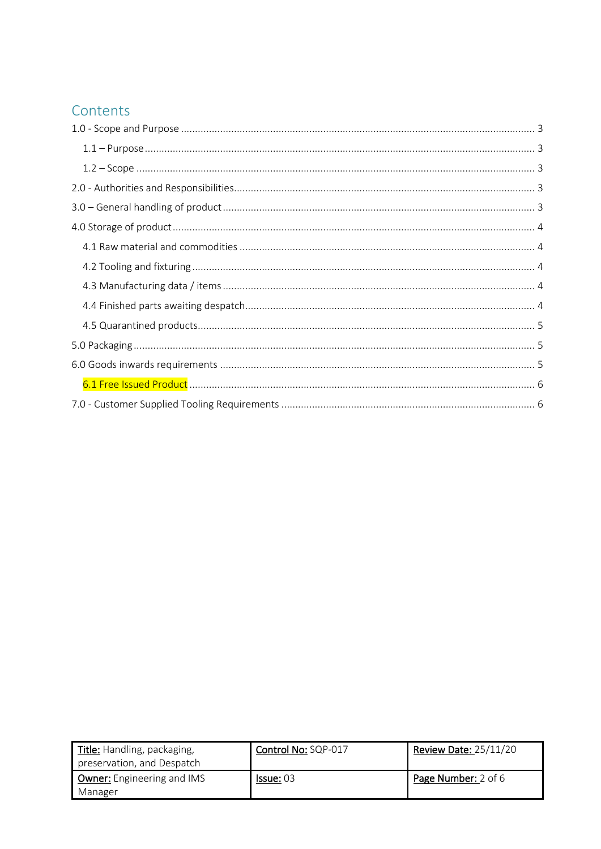# Contents

| Title: Handling, packaging,<br>preservation, and Despatch | Control No: SQP-017 | <b>Review Date: 25/11/20</b> |
|-----------------------------------------------------------|---------------------|------------------------------|
| <b>Owner:</b> Engineering and IMS<br>Manager              | <b>Issue: 03</b>    | Page Number: 2 of 6          |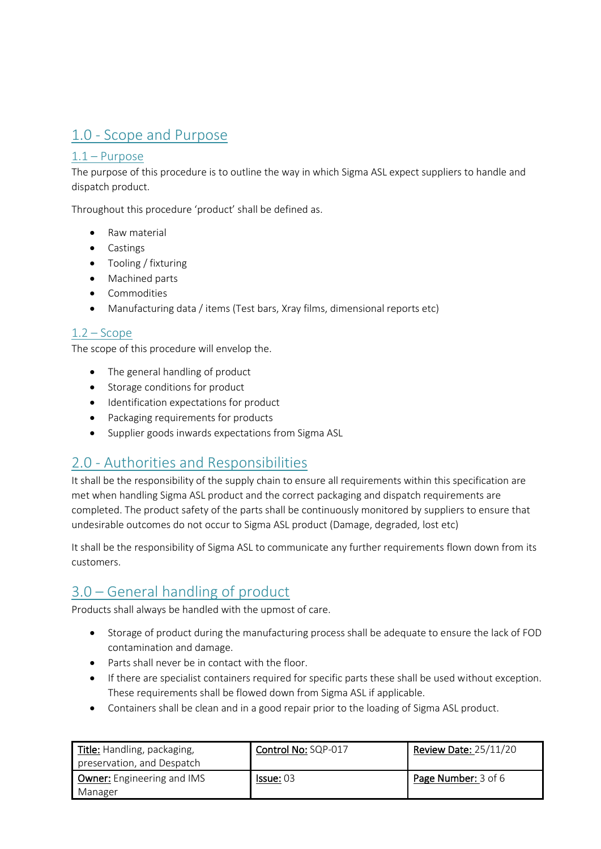# <span id="page-2-0"></span>1.0 - Scope and Purpose

#### <span id="page-2-1"></span>1.1 – Purpose

The purpose of this procedure is to outline the way in which Sigma ASL expect suppliers to handle and dispatch product.

Throughout this procedure 'product' shall be defined as.

- Raw material
- Castings
- Tooling / fixturing
- Machined parts
- Commodities
- Manufacturing data / items (Test bars, Xray films, dimensional reports etc)

#### <span id="page-2-2"></span> $1.2 -$  Scope

The scope of this procedure will envelop the.

- The general handling of product
- Storage conditions for product
- Identification expectations for product
- Packaging requirements for products
- Supplier goods inwards expectations from Sigma ASL

# <span id="page-2-3"></span>2.0 - Authorities and Responsibilities

It shall be the responsibility of the supply chain to ensure all requirements within this specification are met when handling Sigma ASL product and the correct packaging and dispatch requirements are completed. The product safety of the parts shall be continuously monitored by suppliers to ensure that undesirable outcomes do not occur to Sigma ASL product (Damage, degraded, lost etc)

It shall be the responsibility of Sigma ASL to communicate any further requirements flown down from its customers.

# <span id="page-2-4"></span>3.0 – General handling of product

Products shall always be handled with the upmost of care.

- Storage of product during the manufacturing process shall be adequate to ensure the lack of FOD contamination and damage.
- Parts shall never be in contact with the floor.
- If there are specialist containers required for specific parts these shall be used without exception. These requirements shall be flowed down from Sigma ASL if applicable.
- Containers shall be clean and in a good repair prior to the loading of Sigma ASL product.

| Title: Handling, packaging,<br>preservation, and Despatch | Control No: SQP-017 | <b>Review Date: 25/11/20</b> |
|-----------------------------------------------------------|---------------------|------------------------------|
| <b>Owner:</b> Engineering and IMS<br>Manager              | <u>lssue:</u> 03    | Page Number: 3 of 6          |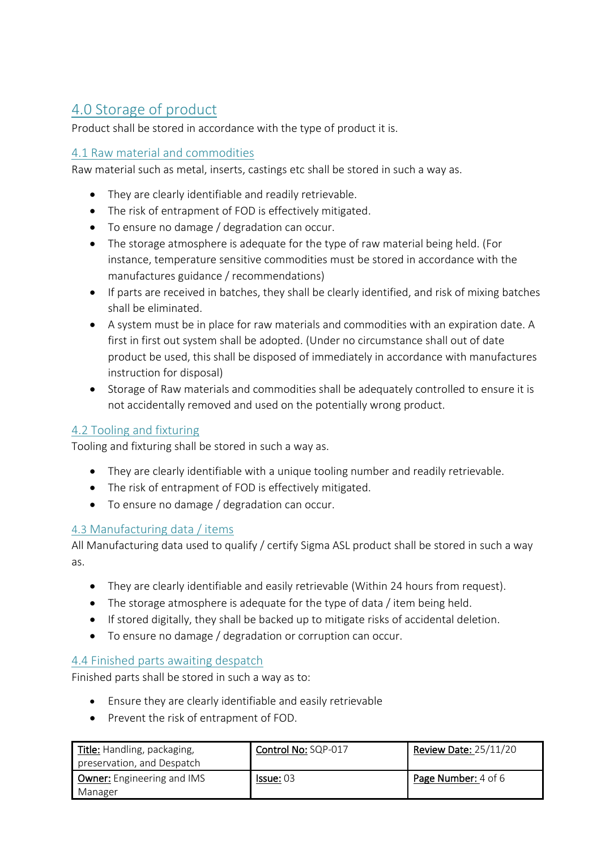# <span id="page-3-0"></span>4.0 Storage of product

Product shall be stored in accordance with the type of product it is.

#### <span id="page-3-1"></span>4.1 Raw material and commodities

Raw material such as metal, inserts, castings etc shall be stored in such a way as.

- They are clearly identifiable and readily retrievable.
- The risk of entrapment of FOD is effectively mitigated.
- To ensure no damage / degradation can occur.
- The storage atmosphere is adequate for the type of raw material being held. (For instance, temperature sensitive commodities must be stored in accordance with the manufactures guidance / recommendations)
- If parts are received in batches, they shall be clearly identified, and risk of mixing batches shall be eliminated.
- A system must be in place for raw materials and commodities with an expiration date. A first in first out system shall be adopted. (Under no circumstance shall out of date product be used, this shall be disposed of immediately in accordance with manufactures instruction for disposal)
- Storage of Raw materials and commodities shall be adequately controlled to ensure it is not accidentally removed and used on the potentially wrong product.

#### <span id="page-3-2"></span>4.2 Tooling and fixturing

Tooling and fixturing shall be stored in such a way as.

- They are clearly identifiable with a unique tooling number and readily retrievable.
- The risk of entrapment of FOD is effectively mitigated.
- To ensure no damage / degradation can occur.

#### <span id="page-3-3"></span>4.3 Manufacturing data / items

All Manufacturing data used to qualify / certify Sigma ASL product shall be stored in such a way as.

- They are clearly identifiable and easily retrievable (Within 24 hours from request).
- The storage atmosphere is adequate for the type of data / item being held.
- If stored digitally, they shall be backed up to mitigate risks of accidental deletion.
- To ensure no damage / degradation or corruption can occur.

#### <span id="page-3-4"></span>4.4 Finished parts awaiting despatch

Finished parts shall be stored in such a way as to:

- Ensure they are clearly identifiable and easily retrievable
- Prevent the risk of entrapment of FOD.

| Title: Handling, packaging,<br>preservation, and Despatch | Control No: SQP-017 | Review Date: 25/11/20 |
|-----------------------------------------------------------|---------------------|-----------------------|
| <b>Owner:</b> Engineering and IMS<br>Manager              | <b>Issue: 03</b>    | Page Number: 4 of 6   |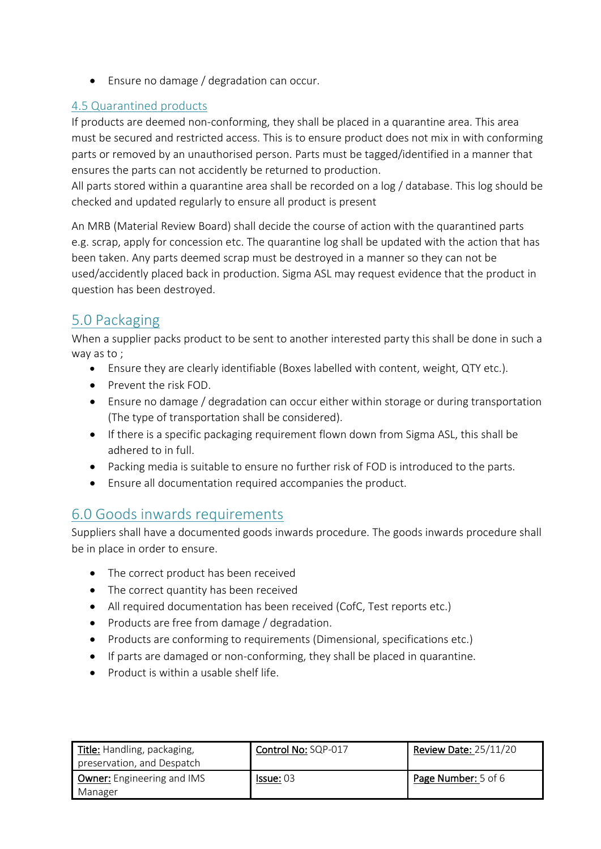• Ensure no damage / degradation can occur.

#### <span id="page-4-0"></span>4.5 Quarantined products

If products are deemed non-conforming, they shall be placed in a quarantine area. This area must be secured and restricted access. This is to ensure product does not mix in with conforming parts or removed by an unauthorised person. Parts must be tagged/identified in a manner that ensures the parts can not accidently be returned to production.

All parts stored within a quarantine area shall be recorded on a log / database. This log should be checked and updated regularly to ensure all product is present

An MRB (Material Review Board) shall decide the course of action with the quarantined parts e.g. scrap, apply for concession etc. The quarantine log shall be updated with the action that has been taken. Any parts deemed scrap must be destroyed in a manner so they can not be used/accidently placed back in production. Sigma ASL may request evidence that the product in question has been destroyed.

# <span id="page-4-1"></span>5.0 Packaging

When a supplier packs product to be sent to another interested party this shall be done in such a way as to ;

- Ensure they are clearly identifiable (Boxes labelled with content, weight, QTY etc.).
- Prevent the risk FOD.
- Ensure no damage / degradation can occur either within storage or during transportation (The type of transportation shall be considered).
- If there is a specific packaging requirement flown down from Sigma ASL, this shall be adhered to in full.
- Packing media is suitable to ensure no further risk of FOD is introduced to the parts.
- Ensure all documentation required accompanies the product.

# <span id="page-4-2"></span>6.0 Goods inwards requirements

Suppliers shall have a documented goods inwards procedure. The goods inwards procedure shall be in place in order to ensure.

- The correct product has been received
- The correct quantity has been received
- All required documentation has been received (CofC, Test reports etc.)
- Products are free from damage / degradation.
- Products are conforming to requirements (Dimensional, specifications etc.)
- If parts are damaged or non-conforming, they shall be placed in quarantine.
- Product is within a usable shelf life.

| Title: Handling, packaging,<br>preservation, and Despatch | Control No: SQP-017 | <b>Review Date: 25/11/20</b> |
|-----------------------------------------------------------|---------------------|------------------------------|
| <b>Owner:</b> Engineering and IMS<br>Manager              | Is sue: 03          | Page Number: 5 of 6          |